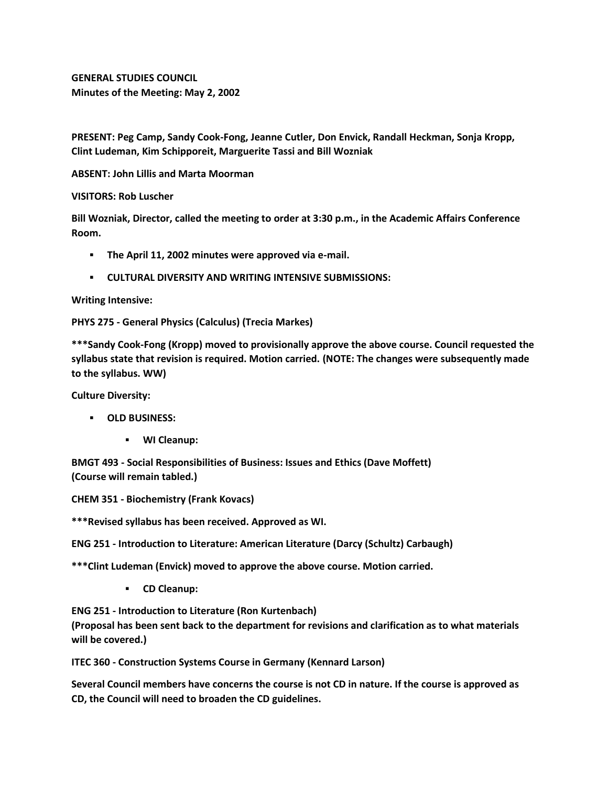**GENERAL STUDIES COUNCIL Minutes of the Meeting: May 2, 2002**

**PRESENT: Peg Camp, Sandy Cook-Fong, Jeanne Cutler, Don Envick, Randall Heckman, Sonja Kropp, Clint Ludeman, Kim Schipporeit, Marguerite Tassi and Bill Wozniak**

**ABSENT: John Lillis and Marta Moorman**

## **VISITORS: Rob Luscher**

**Bill Wozniak, Director, called the meeting to order at 3:30 p.m., in the Academic Affairs Conference Room.**

- **The April 11, 2002 minutes were approved via e-mail.**
- **CULTURAL DIVERSITY AND WRITING INTENSIVE SUBMISSIONS:**

## **Writing Intensive:**

## **PHYS 275 - General Physics (Calculus) (Trecia Markes)**

**\*\*\*Sandy Cook-Fong (Kropp) moved to provisionally approve the above course. Council requested the syllabus state that revision is required. Motion carried. (NOTE: The changes were subsequently made to the syllabus. WW)**

**Culture Diversity:**

- **OLD BUSINESS:**
	- **WI Cleanup:**

**BMGT 493 - Social Responsibilities of Business: Issues and Ethics (Dave Moffett) (Course will remain tabled.)**

**CHEM 351 - Biochemistry (Frank Kovacs)**

**\*\*\*Revised syllabus has been received. Approved as WI.**

**ENG 251 - Introduction to Literature: American Literature (Darcy (Schultz) Carbaugh)**

**\*\*\*Clint Ludeman (Envick) moved to approve the above course. Motion carried.**

**CD Cleanup:** 

**ENG 251 - Introduction to Literature (Ron Kurtenbach)**

**(Proposal has been sent back to the department for revisions and clarification as to what materials will be covered.)**

**ITEC 360 - Construction Systems Course in Germany (Kennard Larson)**

**Several Council members have concerns the course is not CD in nature. If the course is approved as CD, the Council will need to broaden the CD guidelines.**